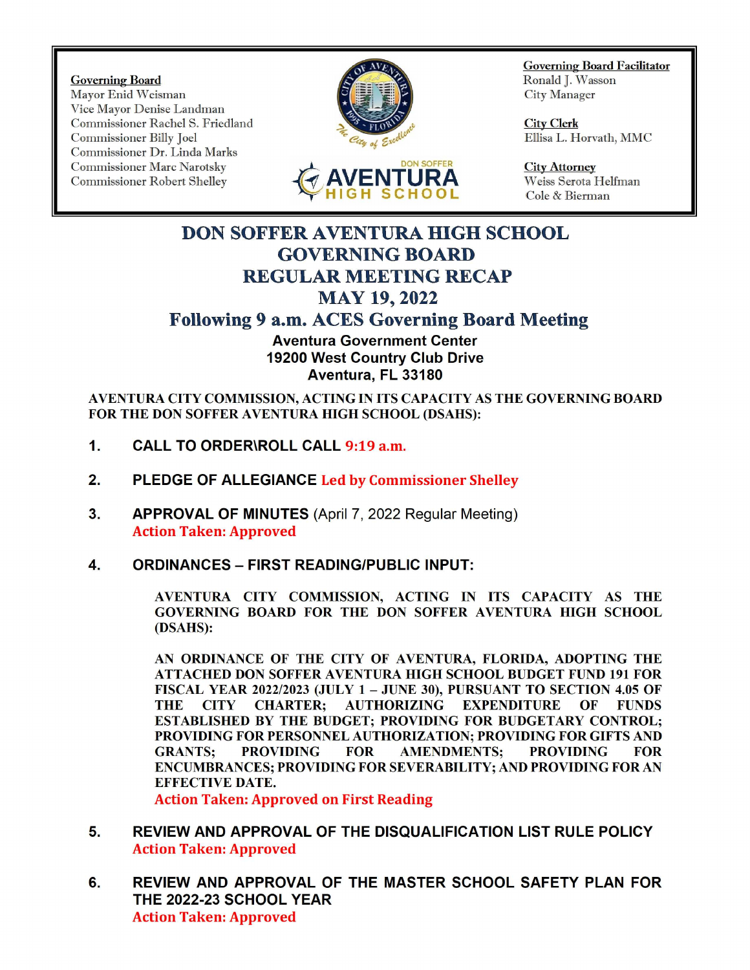Governing Board<br>Mayor Enid Weisman Nayor Enid Weisman Mayor Enid Weisman Vice Mayor Denise Landman Commissioner Rachel S. Friedland Commissioner Billy Joel City Clerk Commissioner Billy Joel City Clerk City Clerk Ellisa L. Horvath, MMC Coverning Board<br>
Mayor Enid Weisman<br>
Vice Mayor Denise Landman<br>
Commissioner Rachel S. Friedland<br>
Commissioner Billy Joel<br>
Commissioner Dr. Linda Marks<br>
Commissioner Dr. Linda Marks<br>
Commissioner Dr. Linda Marks<br>
Commissio Commissioner Dr. Linda Marks Commissioner Marc Narotsky DON SOFFER City Attorney Commissioner Robert Shelley f





Governing Board Facilitator

Weiss Serota Helfman Cole & Bierman

## DON SOFFER AVENTURA HIGH SCHOOL GOVERNING BOARD REGULAR MEETING RECAP **MAY 19, 2022** Following 9 a.m. ACES Governing Board Meeting

Aventura Government Center 19200 West Country Club Drive Aventura, FL 33180

AVENTURA CITY COMMISSION, ACTING IN ITS CAPACITY AS THE GOVERNING BOARD FOR THE DON SOFFER AVENTURA HIGH SCHOOL (DSAHS):

- 1. CALL TO ORDER\ROLL CALL 9:19 a.m.
- 2. PLEDGE OF ALLEGIANCE Led by Commissioner Shelley
- 3. APPROVAL OF MINUTES (April 7, 2022 Regular Meeting) Action Taken: Approved
- 4. ORDINANCES FIRST READING/PUBLIC INPUT:

AVENTURA CITY COMMISSION, ACTING IN ITS CAPACITY AS THE GOVERNING BOARD FOR THE DON SOFFER AVENTURA HIGH SCHOOL DSAHS):

AN ORDINANCE OF THE CITY OF AVENTURA, FLORIDA, ADOPTING THE ATTACHED DON SOFFER AVENTURA HIGH SCHOOL BUDGET FUND 191 FOR FISCAL YEAR 2022/2023 (JULY 1 – JUNE 30), PURSUANT TO SECTION 4.05 OF THE CITY CHARTER; AUTHORIZING EXPENDITURE OF FUNDS ESTABLISHED BY THE BUDGET; PROVIDING FOR BUDGETARY CONTROL; PROVIDING FOR PERSONNEL AUTHORIZATION; PROVIDING FOR GIFTS AND GRANTS; PROVIDING FOR AMENDMENTS; PROVIDING FOR ENCUMBRANCES; PROVIDING FOR SEVERABILITY; AND PROVIDING FOR AN EFFECTIVE DATE.

Action Taken: Approved on First Reading

- 5. REVIEW AND APPROVAL OF THE DISQUALIFICATION LIST RULE POLICY Action Taken: Approved
- 6. REVIEW AND APPROVAL OF THE MASTER SCHOOL SAFETY PLAN FOR THE 2022-23 SCHOOL YEAR Action Taken: Approved